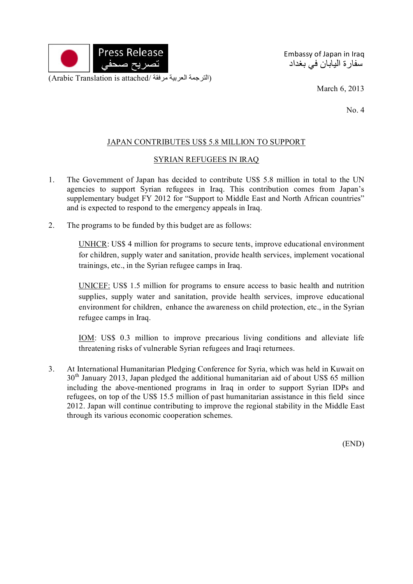

Embassy of Japan in Iraq سفارة اليابان في بغداد

March 6, 2013

No. 4

## JAPAN CONTRIBUTES US\$ 5.8 MILLION TO SUPPORT

## SYRIAN REFUGEES IN IRAQ

- 1. The Government of Japan has decided to contribute US\$ 5.8 million in total to the UN agencies to support Syrian refugees in Iraq. This contribution comes from Japan's supplementary budget FY 2012 for "Support to Middle East and North African countries" and is expected to respond to the emergency appeals in Iraq.
- 2. The programs to be funded by this budget are as follows:

UNHCR: US\$ 4 million for programs to secure tents, improve educational environment for children, supply water and sanitation, provide health services, implement vocational trainings, etc., in the Syrian refugee camps in Iraq.

UNICEF: US\$ 1.5 million for programs to ensure access to basic health and nutrition supplies, supply water and sanitation, provide health services, improve educational environment for children, enhance the awareness on child protection, etc., in the Syrian refugee camps in Iraq.

IOM: US\$ 0.3 million to improve precarious living conditions and alleviate life threatening risks of vulnerable Syrian refugees and Iraqi returnees.

3. At International Humanitarian Pledging Conference for Syria, which was held in Kuwait on  $30<sup>th</sup>$  January 2013, Japan pledged the additional humanitarian aid of about US\$ 65 million including the above-mentioned programs in Iraq in order to support Syrian IDPs and refugees, on top of the US\$ 15.5 million of past humanitarian assistance in this field since 2012. Japan will continue contributing to improve the regional stability in the Middle East through its various economic cooperation schemes.

(END)